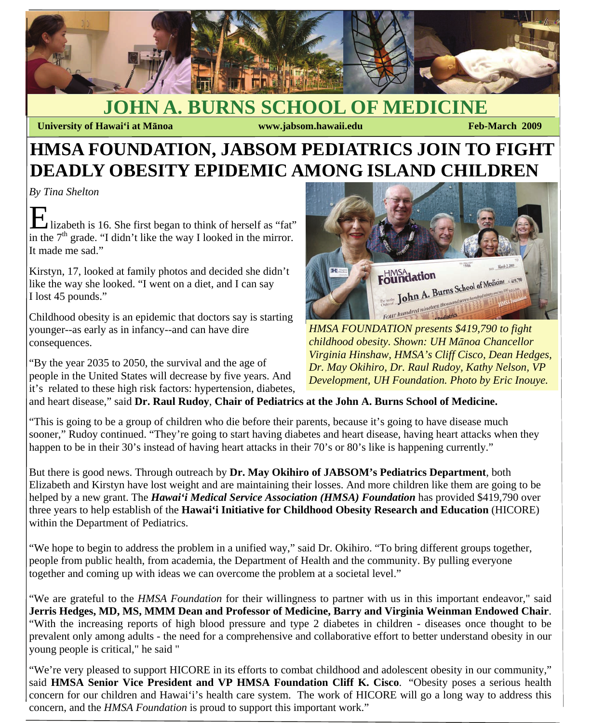